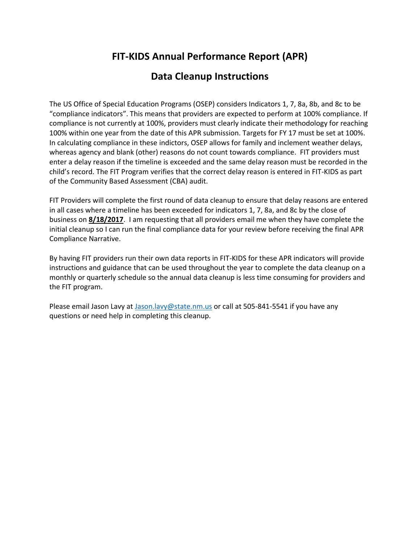# **FIT-KIDS Annual Performance Report (APR)**

### **Data Cleanup Instructions**

The US Office of Special Education Programs (OSEP) considers Indicators 1, 7, 8a, 8b, and 8c to be "compliance indicators". This means that providers are expected to perform at 100% compliance. If compliance is not currently at 100%, providers must clearly indicate their methodology for reaching 100% within one year from the date of this APR submission. Targets for FY 17 must be set at 100%. In calculating compliance in these indictors, OSEP allows for family and inclement weather delays, whereas agency and blank (other) reasons do not count towards compliance. FIT providers must enter a delay reason if the timeline is exceeded and the same delay reason must be recorded in the child's record. The FIT Program verifies that the correct delay reason is entered in FIT-KIDS as part of the Community Based Assessment (CBA) audit.

FIT Providers will complete the first round of data cleanup to ensure that delay reasons are entered in all cases where a timeline has been exceeded for indicators 1, 7, 8a, and 8c by the close of business on **8/18/2017**. I am requesting that all providers email me when they have complete the initial cleanup so I can run the final compliance data for your review before receiving the final APR Compliance Narrative.

By having FIT providers run their own data reports in FIT-KIDS for these APR indicators will provide instructions and guidance that can be used throughout the year to complete the data cleanup on a monthly or quarterly schedule so the annual data cleanup is less time consuming for providers and the FIT program.

Please email Jason Lavy a[t Jason.lavy@state.nm.us](mailto:Jason.lavy@state.nm.us) or call at 505-841-5541 if you have any questions or need help in completing this cleanup.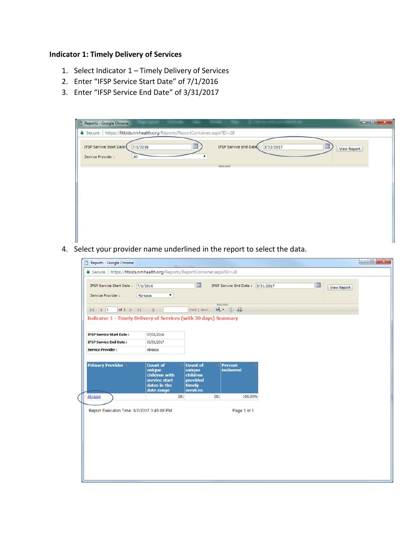### **Indicator 1: Timely Delivery of Services**

- 1. Select Indicator 1 Timely Delivery of Services
- 2. Enter "IFSP Service Start Date" of 7/1/2016
- 3. Enter "IFSP Service End Date" of 3/31/2017

| D<br>Reports - Google Chrome                                               | $\blacksquare$<br>$\mathbf{x}$                         |
|----------------------------------------------------------------------------|--------------------------------------------------------|
| 6 Secure   https://fitkids.nmhealth.org/Reports/ReportContainer.aspx?ID=28 |                                                        |
| IFSP Service Start Date (<br>H<br>7/1/2016<br>Service Provider :<br>All    | IFSP Service End Date<br>3/31/2017<br>E<br>View Report |
|                                                                            | <b>Louis State</b>                                     |
|                                                                            |                                                        |
|                                                                            |                                                        |
|                                                                            |                                                        |

4. Select your provider name underlined in the report to select the data.

| Reports - Google Chrome                                                                                                                                                                                                                                                                                                                                                                                                                                                     |                                                                                           |                                                                                                     |                                         |                         | $\begin{array}{c c c c c} \hline \multicolumn{3}{c }{\mathbf{C}} & \multicolumn{3}{c }{\mathbf{C}} & \multicolumn{3}{c }{\mathbf{X}} \\\hline \multicolumn{3}{c }{\mathbf{C}} & \multicolumn{3}{c }{\mathbf{D}} & \multicolumn{3}{c }{\mathbf{X}} \\\hline \multicolumn{3}{c }{\mathbf{D}} & \multicolumn{3}{c }{\mathbf{D}} & \multicolumn{3}{c }{\mathbf{X}} \\\hline \multicolumn{3}{c }{\mathbf{D}} & \multicolumn{3}{c }{\mathbf{D}} & \multicolumn{3$ |
|-----------------------------------------------------------------------------------------------------------------------------------------------------------------------------------------------------------------------------------------------------------------------------------------------------------------------------------------------------------------------------------------------------------------------------------------------------------------------------|-------------------------------------------------------------------------------------------|-----------------------------------------------------------------------------------------------------|-----------------------------------------|-------------------------|-------------------------------------------------------------------------------------------------------------------------------------------------------------------------------------------------------------------------------------------------------------------------------------------------------------------------------------------------------------------------------------------------------------------------------------------------------------|
| △ Secure   https://fitkids.nmhealth.org/Reports/ReportContainer.aspx?ID=28                                                                                                                                                                                                                                                                                                                                                                                                  |                                                                                           |                                                                                                     |                                         |                         |                                                                                                                                                                                                                                                                                                                                                                                                                                                             |
| IFSP Service Start Date:<br>Service Provider :                                                                                                                                                                                                                                                                                                                                                                                                                              | 7/1/2016<br>$\pmb{\mathrm{v}}$<br>Abrazos                                                 | m                                                                                                   | IFSP Service End Date: 3/31/2017        | I<br><b>View Report</b> |                                                                                                                                                                                                                                                                                                                                                                                                                                                             |
| $\begin{array}{ c c c c c }\n\hline\n\multicolumn{1}{ c }{4} & \multicolumn{1}{ c }{4} & \multicolumn{1}{ c }{1} \\ \hline\n\multicolumn{1}{ c }{5} & \multicolumn{1}{ c }{4} & \multicolumn{1}{ c }{1} & \multicolumn{1}{ c }{1} & \multicolumn{1}{ c }{1} & \multicolumn{1}{ c }{1} & \multicolumn{1}{ c }{1} & \multicolumn{1}{ c }{1} & \multicolumn{1}{ c }{1} & \multicolumn{1}{ c }{1} & \multicolumn{1}{ c }{1$<br>of $1 \quad \triangleright \quad \triangleright$ | $\left\langle 1\right\rangle$                                                             | Find   Next                                                                                         | <b>Land County</b><br>風 ②曲              |                         |                                                                                                                                                                                                                                                                                                                                                                                                                                                             |
| Indicator 1 - Timely Delivery of Services (with 30 days) Summary                                                                                                                                                                                                                                                                                                                                                                                                            |                                                                                           |                                                                                                     |                                         |                         |                                                                                                                                                                                                                                                                                                                                                                                                                                                             |
| <b>IFSP Service Start Date:</b>                                                                                                                                                                                                                                                                                                                                                                                                                                             | 07/01/2016                                                                                |                                                                                                     |                                         |                         |                                                                                                                                                                                                                                                                                                                                                                                                                                                             |
| <b>IFSP Service End Date:</b>                                                                                                                                                                                                                                                                                                                                                                                                                                               | 03/31/2017                                                                                |                                                                                                     |                                         |                         |                                                                                                                                                                                                                                                                                                                                                                                                                                                             |
| <b>Service Provider:</b>                                                                                                                                                                                                                                                                                                                                                                                                                                                    | Abrazos                                                                                   |                                                                                                     |                                         |                         |                                                                                                                                                                                                                                                                                                                                                                                                                                                             |
|                                                                                                                                                                                                                                                                                                                                                                                                                                                                             |                                                                                           |                                                                                                     |                                         |                         |                                                                                                                                                                                                                                                                                                                                                                                                                                                             |
| <b>Primary Provider #</b>                                                                                                                                                                                                                                                                                                                                                                                                                                                   | <b>Count of</b><br>unique<br>children with<br>service start<br>dates in the<br>date range | $\frac{1}{2}$ Count of<br>$\epsilon$<br>unique<br>children<br>provided<br>timely<br><b>services</b> | <b>Percent</b><br>ê<br><b>Delivered</b> |                         |                                                                                                                                                                                                                                                                                                                                                                                                                                                             |
| Abrazos                                                                                                                                                                                                                                                                                                                                                                                                                                                                     | 281                                                                                       | 281                                                                                                 | 100.00%                                 |                         |                                                                                                                                                                                                                                                                                                                                                                                                                                                             |
| Report Execution Time: 8/7/2017 3:45:08 PM                                                                                                                                                                                                                                                                                                                                                                                                                                  |                                                                                           |                                                                                                     | Page 1 of 1                             |                         |                                                                                                                                                                                                                                                                                                                                                                                                                                                             |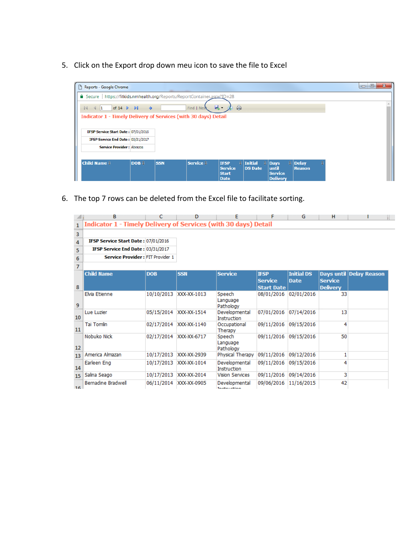5. Click on the Export drop down meu icon to save the file to Excel



6. The top 7 rows can be deleted from the Excel file to facilitate sorting.

|                 | в                                                               | c          | D           |                                     | F                                                  | G                                | н                                 |                         |
|-----------------|-----------------------------------------------------------------|------------|-------------|-------------------------------------|----------------------------------------------------|----------------------------------|-----------------------------------|-------------------------|
| $\mathbf{1}$    | Indicator 1 - Timely Delivery of Services (with 30 days) Detail |            |             |                                     |                                                    |                                  |                                   |                         |
| 3               |                                                                 |            |             |                                     |                                                    |                                  |                                   |                         |
| 4               | IFSP Service Start Date: 07/01/2016                             |            |             |                                     |                                                    |                                  |                                   |                         |
| 5               | IFSP Service End Date: 03/31/2017                               |            |             |                                     |                                                    |                                  |                                   |                         |
| 6               | <b>Service Provider: FIT Provider 1</b>                         |            |             |                                     |                                                    |                                  |                                   |                         |
| $\overline{7}$  |                                                                 |            |             |                                     |                                                    |                                  |                                   |                         |
| 8               | <b>Child Name</b>                                               | <b>DOB</b> | <b>SSN</b>  | <b>Service</b>                      | <b>IFSP</b><br><b>Service</b><br><b>Start Date</b> | <b>Initial DS</b><br><b>Date</b> | <b>Service</b><br><b>Delivery</b> | Days until Delay Reason |
| 9               | <b>Elvia Etienne</b>                                            | 10/10/2013 | XXX-XX-1013 | Speech<br>Language<br>Pathology     | 08/01/2016                                         | 02/01/2016                       | 33                                |                         |
| 10              | Lue Luzier                                                      | 05/15/2014 | XXX-XX-1514 | Developmental<br><b>Instruction</b> | 07/01/2016 07/14/2016                              |                                  | 13                                |                         |
| 11              | <b>Tai Tomlin</b>                                               | 02/17/2014 | XXX-XX-1140 | Occupational<br>Therapy             | 09/11/2016                                         | 09/15/2016                       | 4                                 |                         |
| 12              | Nobuko Nick                                                     | 02/17/2014 | XXX-XX-6717 | Speech<br>Language<br>Pathology     | 09/11/2016                                         | 09/15/2016                       | 50                                |                         |
| 13              | America Almazan                                                 | 10/17/2013 | XXX-XX-2939 | Physical Therapy                    | 09/11/2016                                         | 09/12/2016                       |                                   |                         |
| 14              | Earleen Eng                                                     | 10/17/2013 | XXX-XX-1014 | Developmental<br><b>Instruction</b> | 09/11/2016                                         | 09/15/2016                       |                                   |                         |
| 15              | Salina Seago                                                    | 10/17/2013 | XXX-XX-2014 | <b>Vision Services</b>              | 09/11/2016                                         | 09/14/2016                       | 3                                 |                         |
| 16 <sup>1</sup> | Bernadine Bradwell                                              | 06/11/2014 | XXX-XX-0905 | Developmental<br>Teachers et in m   | 09/06/2016                                         | 11/16/2015                       | 42                                |                         |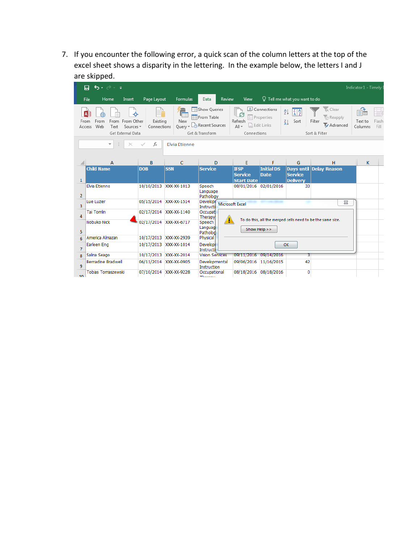7. If you encounter the following error, a quick scan of the column letters at the top of the excel sheet shows a disparity in the lettering. In the example below, the letters I and J are skipped.

|                 | 6.22<br>日                                                                                                    |                         |                        |                                                                    |                                                    |                                                                                               |                                                 |                                                                    | Indicator 1 - Timely I                    |
|-----------------|--------------------------------------------------------------------------------------------------------------|-------------------------|------------------------|--------------------------------------------------------------------|----------------------------------------------------|-----------------------------------------------------------------------------------------------|-------------------------------------------------|--------------------------------------------------------------------|-------------------------------------------|
|                 | Home<br>File<br>Insert                                                                                       | Page Layout             | Formulas               | Review<br>Data                                                     | View                                               |                                                                                               | $\Omega$ Tell me what you want to do            |                                                                    |                                           |
| From            | A <sub>3</sub><br>⊕<br>From Other<br>From<br>From<br>Web<br>Sources *<br>Text<br>Access<br>Get External Data | Existing<br>Connections | New<br>Query *         | Show Queries<br>From Table<br>Lo Recent Sources<br>Get & Transform | Refresh<br>$All -$<br>Connections                  | Connections<br><b>ED</b> Properties<br>$\begin{bmatrix} 1 \\ 0 \\ 0 \end{bmatrix}$ Edit Links | ₿ļ<br>$\frac{Z}{A}$ $\frac{A}{Z}$<br>Sort<br>٤l | & Clear<br><b>C</b> Reapply<br>Filter<br>Advanced<br>Sort & Filter | f.<br>Flash<br>Text to<br>Fill<br>Columns |
|                 | $\overline{\phantom{a}}$<br>$\times$                                                                         | $f_x$                   | <b>Elvia Etienne</b>   |                                                                    |                                                    |                                                                                               |                                                 |                                                                    |                                           |
|                 | $\overline{A}$                                                                                               | B                       | $\mathsf{C}$           | D                                                                  | E                                                  | F                                                                                             | G                                               | H                                                                  | K                                         |
| 1               | <b>Child Name</b>                                                                                            | <b>DOB</b>              | <b>SSN</b>             | <b>Service</b>                                                     | <b>IFSP</b><br><b>Service</b><br><b>Start Date</b> | <b>Initial DS</b><br><b>Date</b>                                                              | <b>Service</b><br><b>Delivery</b>               | Days until Delay Reason                                            |                                           |
| $\overline{2}$  | Elvia Etienne                                                                                                |                         | 10/10/2013 XXX-XX-1013 | Speech<br>Language<br>Pathology                                    | 08/01/2016                                         | 02/01/2016                                                                                    | 33                                              |                                                                    |                                           |
| 3               | Lue Luzier                                                                                                   |                         | 05/15/2014 XXX-XX-1514 | <b>Developt</b><br>Instructi                                       | <b>Microsoft Excel</b>                             |                                                                                               |                                                 | $\Sigma$                                                           |                                           |
| 4               | <b>Tai Tomlin</b>                                                                                            |                         | 02/17/2014 XXX-XX-1140 | Occupati<br>Therapy                                                |                                                    |                                                                                               |                                                 |                                                                    |                                           |
| 5               | Nobuko Nick                                                                                                  |                         | 02/17/2014 XXX-XX-6717 | Speech<br>Languag<br>Patholog                                      | Show Help >>                                       |                                                                                               |                                                 | To do this, all the merged cells need to be the same size.         |                                           |
| 6               | America Almazan                                                                                              |                         | 10/17/2013 XXX-XX-2939 | Physical                                                           |                                                    |                                                                                               |                                                 |                                                                    |                                           |
| $\overline{7}$  | Earleen Eng                                                                                                  | 10/17/2013              | XXX-XX-1014            | <b>Developt</b><br>Instructi                                       |                                                    |                                                                                               | OK                                              |                                                                    |                                           |
| 8               | Salina Seago                                                                                                 | 10/17/2013              | XXX-XX-2014            | <b>Vision Services</b>                                             | 09/11/2016                                         | 109/14/2016                                                                                   | 3                                               |                                                                    |                                           |
| 9               | <b>Bernadine Bradwell</b>                                                                                    |                         | 06/11/2014 XXX-XX-0905 | Developmental<br>Instruction                                       | 09/06/2016                                         | 11/16/2015                                                                                    | 42                                              |                                                                    |                                           |
| 10 <sub>1</sub> | <b>Tobias Tomaszewski</b>                                                                                    |                         | 07/10/2014 XXX-XX-9228 | Occupational<br>Thomas                                             | 08/18/2016                                         | 08/18/2016                                                                                    | 0                                               |                                                                    |                                           |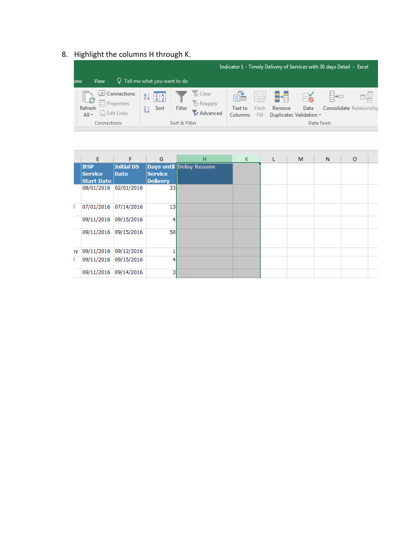# 8. Highlight the columns H through K.

|                          |                 |                                                                |          |                                                  |               |                                                   |                           |                        |               |                                 | Indicator 1 - Timely Delivery of Services with 30 days Detail - Excel |   |
|--------------------------|-----------------|----------------------------------------------------------------|----------|--------------------------------------------------|---------------|---------------------------------------------------|---------------------------|------------------------|---------------|---------------------------------|-----------------------------------------------------------------------|---|
| <b>iew</b>               | View            | $Q$ Tell me what you want to do                                |          |                                                  |               |                                                   |                           |                        |               |                                 |                                                                       |   |
| ⊪∂<br>Refresh<br>$All -$ | $rac{a-1}{a-1}$ | Connections ایچ<br>Properties<br>$\bigcap_{\infty}$ Edit Links | ₿ļ<br>Ã↓ | $\left  \frac{Z}{A} \right  \frac{A}{Z}$<br>Sort | U<br>Filter   | <b>Ix</b> Clear<br><b>T</b> e Reapply<br>Advanced | eě.<br>Text to<br>Columns | FEEZ.<br>Flash<br>Fill | H.E<br>Remove | Data<br>Duplicates Validation v | ⊫⊨<br>Consolidate Relationship                                        | 타 |
|                          | Connections     |                                                                |          |                                                  | Sort & Filter |                                                   |                           |                        |               | Data Tools                      |                                                                       |   |

|   | E                                                  | F                         | G                                 | H                       | K | L | M | N | $\circ$ |  |
|---|----------------------------------------------------|---------------------------|-----------------------------------|-------------------------|---|---|---|---|---------|--|
|   | <b>IFSP</b><br><b>Service</b><br><b>Start Date</b> | Initial DS<br><b>Date</b> | <b>Service</b><br><b>Delivery</b> | Days until Delay Reason |   |   |   |   |         |  |
|   | 08/01/2016 02/01/2016                              |                           | 33                                |                         |   |   |   |   |         |  |
| L | 07/01/2016 07/14/2016                              |                           | 13                                |                         |   |   |   |   |         |  |
|   | 09/11/2016 09/15/2016                              |                           | 4                                 |                         |   |   |   |   |         |  |
|   | 09/11/2016 09/15/2016                              |                           | 50                                |                         |   |   |   |   |         |  |
|   | y   09/11/2016   09/12/2016                        |                           |                                   |                         |   |   |   |   |         |  |
| L | 09/11/2016 09/15/2016                              |                           | 4                                 |                         |   |   |   |   |         |  |
|   | 09/11/2016                                         | 09/14/2016                | 3                                 |                         |   |   |   |   |         |  |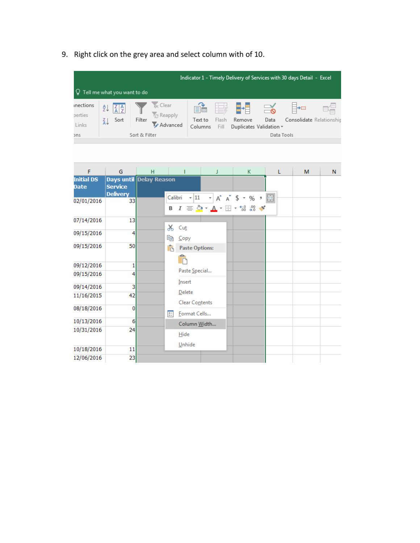9. Right click on the grey area and select column with of 10.

|                                 |    |                             |               |                                        |                    |               |        |                                 | Indicator 1 - Timely Delivery of Services with 30 days Detail - Excel |     |  |
|---------------------------------|----|-----------------------------|---------------|----------------------------------------|--------------------|---------------|--------|---------------------------------|-----------------------------------------------------------------------|-----|--|
| $Q$ Tell me what you want to do |    |                             |               |                                        |                    |               |        |                                 |                                                                       |     |  |
| inections<br>perties            | ₹↓ | $\frac{7}{4}$ $\frac{4}{7}$ |               | <b>B</b> c Clear<br><b>T</b> e Reapply | 目品                 | 室             | 82     |                                 | ⊐→⊟                                                                   | eć. |  |
| Links                           | Ãļ | Sort                        | Filter        | Advanced                               | Text to<br>Columns | Flash<br>Fill | Remove | Data<br>Duplicates Validation v | Consolidate Relationship                                              |     |  |
| ons                             |    |                             | Sort & Filter |                                        |                    |               |        | Data Tools                      |                                                                       |     |  |

| F                                | G                                 | H                              |                                                        | J | K.                                                                                                                                             | L | M | N |
|----------------------------------|-----------------------------------|--------------------------------|--------------------------------------------------------|---|------------------------------------------------------------------------------------------------------------------------------------------------|---|---|---|
| <b>Initial DS</b><br><b>Date</b> | <b>Service</b><br><b>Delivery</b> | <b>Days until Delay Reason</b> |                                                        |   |                                                                                                                                                |   |   |   |
| 02/01/2016                       | 33                                |                                | $\cdot$ 11<br>Calibri<br>В                             |   | $\mathbf{A} \times \mathbf{A} \times \mathbf{A}$<br>$I \equiv \bigcirc \cdot A \cdot \mathbb{H} \cdot \mathbb{S} \cdot \mathbb{S} \rightarrow$ | 目 |   |   |
| 07/14/2016                       | 13                                |                                | X,<br>Cut                                              |   |                                                                                                                                                |   |   |   |
| 09/15/2016                       | 4                                 |                                | 晒<br>Copy                                              |   |                                                                                                                                                |   |   |   |
| 09/15/2016                       | 50                                |                                | ĥ<br><b>Paste Options:</b><br>≏<br>$\overline{\Gamma}$ |   |                                                                                                                                                |   |   |   |
| 09/12/2016                       | 1                                 |                                |                                                        |   |                                                                                                                                                |   |   |   |
| 09/15/2016                       | 4                                 |                                | Paste Special<br>Insert                                |   |                                                                                                                                                |   |   |   |
| 09/14/2016                       | 3                                 |                                |                                                        |   |                                                                                                                                                |   |   |   |
| 11/16/2015                       | 42                                |                                | Delete<br><b>Clear Contents</b>                        |   |                                                                                                                                                |   |   |   |
| 08/18/2016                       | $\bf{0}$                          |                                | $\boxed{=}$<br>Format Cells                            |   |                                                                                                                                                |   |   |   |
| 10/13/2016                       | 6                                 |                                | Column Width                                           |   |                                                                                                                                                |   |   |   |
| 10/31/2016                       | 24                                |                                | Hide                                                   |   |                                                                                                                                                |   |   |   |
| 10/18/2016                       | 11                                |                                | Unhide                                                 |   |                                                                                                                                                |   |   |   |
| 12/06/2016                       | 23                                |                                |                                                        |   |                                                                                                                                                |   |   |   |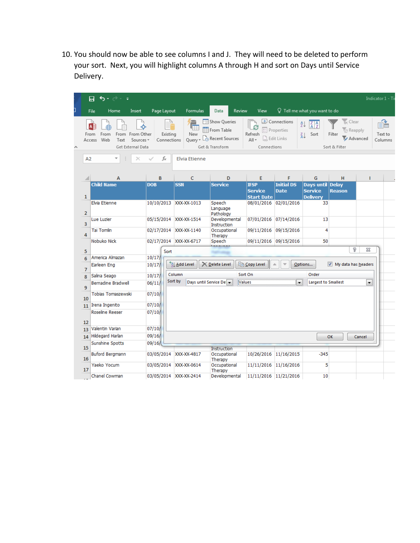10. You should now be able to see columns I and J. They will need to be deleted to perform your sort. Next, you will highlight columns A through H and sort on Days until Service Delivery.

|                | 日<br>ь<br><del>-</del> ∂∼<br>$\overline{\bullet}$                                                                               |                                |                                  |                                                                                   |                                                    |                                                                      |                                                                  |                                                                | Indicator 1 - Ti        |
|----------------|---------------------------------------------------------------------------------------------------------------------------------|--------------------------------|----------------------------------|-----------------------------------------------------------------------------------|----------------------------------------------------|----------------------------------------------------------------------|------------------------------------------------------------------|----------------------------------------------------------------|-------------------------|
|                | Home<br>File<br>Insert                                                                                                          | Page Layout                    | Formulas                         | Review<br>Data                                                                    | View                                               |                                                                      | $\operatorname{\mathsf{Q}}\nolimits$ Tell me what you want to do |                                                                |                         |
| A <sub>2</sub> | $A \nightharpoonup$<br>From<br>From Other<br>From<br>From<br>Web<br>Access<br>Text<br>Sources <sup>*</sup><br>Get External Data | Existing<br>Connections<br>fx  | 而<br>New<br><b>Elvia Etienne</b> | <b>Show Queries</b><br>From Table<br>Query - Lo Recent Sources<br>Get & Transform | Refresh<br>All -<br>Connections                    | Connections<br>= Properties<br>$\int_{\alpha_2}^{\eta_1}$ Edit Links | ₹↓<br>$\frac{Z}{A}$ $\frac{A}{Z}$<br>Sort<br>$\frac{7}{9}$       | Clear<br><b>Reapply</b><br>Filter<br>Advanced<br>Sort & Filter | 6<br>Text to<br>Columns |
|                |                                                                                                                                 |                                |                                  |                                                                                   |                                                    |                                                                      |                                                                  |                                                                |                         |
|                | A                                                                                                                               | B                              | C                                | D                                                                                 | E                                                  | F                                                                    | G                                                                | H                                                              | т                       |
| $\mathbf{1}$   | <b>Child Name</b>                                                                                                               | <b>DOB</b>                     | <b>SSN</b>                       | <b>Service</b>                                                                    | <b>IFSP</b><br><b>Service</b><br><b>Start Date</b> | <b>Initial DS</b><br><b>Date</b>                                     | Days until<br><b>Service</b><br><b>Delivery</b>                  | <b>Delay</b><br><b>Reason</b>                                  |                         |
| $\overline{2}$ | Elvia Etienne                                                                                                                   | 10/10/2013 XXX-XX-1013         |                                  | Speech<br>Language<br>Pathology                                                   | 08/01/2016                                         | 02/01/2016                                                           | 33                                                               |                                                                |                         |
| 3              | Lue Luzier                                                                                                                      | 05/15/2014 XXX-XX-1514         |                                  | Developmental<br><b>Instruction</b>                                               | 07/01/2016                                         | 07/14/2016                                                           | 13                                                               |                                                                |                         |
| 4              | <b>Tai Tomlin</b>                                                                                                               | 02/17/2014 XXX-XX-1140         |                                  | Occupational<br>Therapy                                                           | 09/11/2016                                         | 09/15/2016                                                           | 4                                                                |                                                                |                         |
| 5              | Nobuko Nick                                                                                                                     | 02/17/2014 XXX-XX-6717<br>Sort |                                  | Speech                                                                            |                                                    | 09/11/2016 09/15/2016                                                | 50                                                               | P                                                              | 23                      |
| 6              | America Almazan                                                                                                                 | 10/17/                         |                                  |                                                                                   |                                                    |                                                                      |                                                                  |                                                                |                         |
| 7              | Earleen Eng                                                                                                                     | 10/17/                         | <sup>+</sup> Al Add Level        | <b>X</b> Delete Level                                                             | 图 Copy Level                                       |                                                                      | V<br>Options                                                     | My data has headers                                            |                         |
| 8              | Salina Seago                                                                                                                    | 10/17/                         | Column                           |                                                                                   | Sort On                                            |                                                                      | Order                                                            |                                                                |                         |
| 9              | <b>Bernadine Bradwell</b>                                                                                                       | Sort by<br>06/11/              | Days until Service De            | Values                                                                            |                                                    | ÷                                                                    | <b>Largest to Smallest</b>                                       |                                                                | $\blacksquare$          |
| 10             | Tobias Tomaszewski                                                                                                              | 07/10/                         |                                  |                                                                                   |                                                    |                                                                      |                                                                  |                                                                |                         |
| 11             | Irena Ingenito                                                                                                                  | 07/10/                         |                                  |                                                                                   |                                                    |                                                                      |                                                                  |                                                                |                         |
|                | <b>Roseline Reeser</b>                                                                                                          | 07/10/                         |                                  |                                                                                   |                                                    |                                                                      |                                                                  |                                                                |                         |
| 12             | Valentin Varian                                                                                                                 | 07/10/                         |                                  |                                                                                   |                                                    |                                                                      |                                                                  |                                                                |                         |
| 13<br>14       | Hildegard Harlan                                                                                                                | 09/16/                         |                                  |                                                                                   |                                                    |                                                                      | OK                                                               | Cancel                                                         |                         |
|                | <b>Sunshine Spotts</b>                                                                                                          | 09/16/                         |                                  |                                                                                   |                                                    |                                                                      |                                                                  |                                                                |                         |
| 15             | <b>Buford Bergmann</b>                                                                                                          | 03/05/2014                     | XXX-XX-4817                      | <b>Instruction</b><br>Occupational                                                |                                                    | 10/26/2016 11/16/2015                                                | $-345$                                                           |                                                                |                         |
| 16             |                                                                                                                                 |                                |                                  | Therapy                                                                           |                                                    |                                                                      |                                                                  |                                                                |                         |
| 17             | Yaeko Yocum                                                                                                                     | 03/05/2014 XXX-XX-0614         |                                  | Occupational<br>Therapy                                                           |                                                    | 11/11/2016 11/16/2016                                                | 5                                                                |                                                                |                         |
|                | Chanel Cowman                                                                                                                   | 03/05/2014 XXX-XX-2414         |                                  | Developmental                                                                     | 11/11/2016 11/21/2016                              |                                                                      | 10                                                               |                                                                |                         |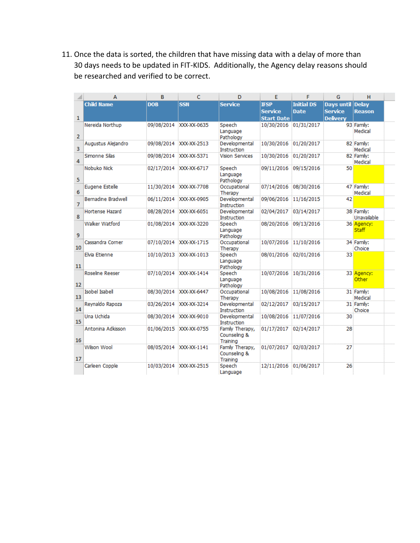11. Once the data is sorted, the children that have missing data with a delay of more than 30 days needs to be updated in FIT-KIDS. Additionally, the Agency delay reasons should be researched and verified to be correct.

|                | А                         | в          | c                      | D                                           | E                     | F                 | G                | н                          |  |
|----------------|---------------------------|------------|------------------------|---------------------------------------------|-----------------------|-------------------|------------------|----------------------------|--|
|                | <b>Child Name</b>         | <b>DOB</b> | <b>SSN</b>             | <b>Service</b>                              | <b>IFSP</b>           | <b>Initial DS</b> | Days until Delay |                            |  |
|                |                           |            |                        |                                             | <b>Service</b>        | <b>Date</b>       | <b>Service</b>   | <b>Reason</b>              |  |
| $\mathbf{1}$   |                           |            |                        |                                             | <b>Start Date</b>     |                   | <b>Deliverv</b>  |                            |  |
|                | Nereida Northup           | 09/08/2014 | XXX-XX-0635            | Speech                                      | 10/30/2016 01/31/2017 |                   |                  | 93 Family:                 |  |
| $\overline{2}$ |                           |            |                        | Language                                    |                       |                   |                  | Medical                    |  |
|                |                           |            | XXX-XX-2513            | Pathology<br>Developmental                  |                       | 01/20/2017        |                  | 82 Family:                 |  |
| 3              | Augustus Alejandro        | 09/08/2014 |                        | Instruction                                 | 10/30/2016            |                   |                  | Medical                    |  |
| 4              | Simonne Silas             | 09/08/2014 | XXX-XX-5371            | <b>Vision Services</b>                      | 10/30/2016            | 01/20/2017        |                  | 82 Family:<br>Medical      |  |
| 5              | Nobuko Nick               |            | 02/17/2014 XXX-XX-6717 | Speech<br>Language<br>Pathology             | 09/11/2016            | 09/15/2016        | 50               |                            |  |
| 6              | Eugene Estelle            | 11/30/2014 | XXX-XX-7708            | Occupational<br>Therapy                     | 07/14/2016            | 08/30/2016        |                  | 47 Family:<br>Medical      |  |
| 7              | <b>Bernadine Bradwell</b> | 06/11/2014 | XXX-XX-0905            | Developmental<br>Instruction                | 09/06/2016            | 11/16/2015        | 42               |                            |  |
| 8              | Hortense Hazard           | 08/28/2014 | XXX-XX-6051            | Developmental<br>Instruction                | 02/04/2017            | 03/14/2017        |                  | 38 Family:<br>Unavailable  |  |
| 9              | Walker Watford            | 01/08/2014 | XXX-XX-3220            | Speech<br>Language<br>Pathology             | 08/20/2016            | 09/13/2016        |                  | 36 Agency:<br><b>Staff</b> |  |
| 10             | Cassandra Corner          | 07/10/2014 | XXX-XX-1715            | Occupational<br>Therapy                     | 10/07/2016            | 11/10/2016        |                  | 34 Family:<br>Choice       |  |
| 11             | Elvia Etienne             | 10/10/2013 | XXX-XX-1013            | Speech<br>Language<br>Pathology             | 08/01/2016            | 02/01/2016        | 33               |                            |  |
| 12             | <b>Roseline Reeser</b>    |            | 07/10/2014 XXX-XX-1414 | Speech<br>Language<br>Pathology             | 10/07/2016            | 10/31/2016        |                  | 33 Agency:<br><b>Other</b> |  |
| 13             | <b>Isobel Isabell</b>     | 08/30/2014 | XXX-XX-6447            | Occupational<br>Therapy                     | 10/08/2016            | 11/08/2016        |                  | 31 Family:<br>Medical      |  |
| 14             | Revnaldo Rapoza           | 03/26/2014 | XXX-XX-3214            | Developmental<br><b>Instruction</b>         | 02/12/2017            | 03/15/2017        |                  | 31 Family:<br>Choice       |  |
| 15             | Una Uchida                | 08/30/2014 | XXX-XX-9010            | Developmental<br>Instruction                | 10/08/2016            | 11/07/2016        | 30               |                            |  |
| 16             | Antonina Adkisson         | 01/06/2015 | XXX-XX-0755            | Family Therapy,<br>Counseling &<br>Training | 01/17/2017            | 02/14/2017        | 28               |                            |  |
| 17             | Wilson Wool               |            | 08/05/2014 XXX-XX-1141 | Family Therapy,<br>Counseling &<br>Training | 01/07/2017            | 02/03/2017        | 27               |                            |  |
|                | Carleen Copple            |            | 10/03/2014 XXX-XX-2515 | Speech<br>Language                          | 12/11/2016            | 01/06/2017        | 26               |                            |  |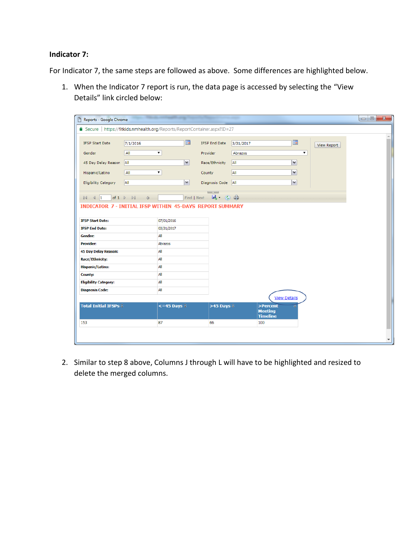#### **Indicator 7:**

For Indicator 7, the same steps are followed as above. Some differences are highlighted below.

1. When the Indicator 7 report is run, the data page is accessed by selecting the "View Details" link circled below:

| Reports - Google Chrome<br>I٦                                              |                                                                               |                           |                      |                                               |                       |                    | $\Box$ $\Box$ |
|----------------------------------------------------------------------------|-------------------------------------------------------------------------------|---------------------------|----------------------|-----------------------------------------------|-----------------------|--------------------|---------------|
| △ Secure   https://fitkids.nmhealth.org/Reports/ReportContainer.aspx?ID=27 |                                                                               |                           |                      |                                               |                       |                    |               |
| <b>IFSP Start Date</b>                                                     | 7/1/2016                                                                      | m                         | <b>IFSP End Date</b> | 3/31/2017                                     | <b>FREE</b>           | <b>View Report</b> |               |
| Gender                                                                     | All                                                                           | ▼                         | Provider             | Abrazos                                       | ۷.                    |                    |               |
| 45 Day Delay Reason                                                        | All                                                                           | $\checkmark$              | Race/Ethnicity       | All                                           | $\checkmark$          |                    |               |
| Hispanic/Latino                                                            | All                                                                           | ۷.                        | County               | <b>AII</b>                                    | $\checkmark$          |                    |               |
| <b>Eligibility Category</b>                                                | All                                                                           | $\checkmark$              | Diagnosis Code       | All                                           | $\checkmark$          |                    |               |
|                                                                            |                                                                               |                           | <b>Contract</b>      |                                               |                       |                    |               |
| $ 4 \ 4  1$                                                                | of $1 \quad \triangleright \quad \triangleright \parallel$<br>$\triangleleft$ |                           | 风 ②曲<br>Find   Next  |                                               |                       |                    |               |
| <b>INDICATOR 7 - INITIAL IFSP WITHIN 45-DAYS REPORT SUMMARY</b>            |                                                                               |                           |                      |                                               |                       |                    |               |
| <b>IFSP Start Date:</b>                                                    |                                                                               | 07/01/2016                |                      |                                               |                       |                    |               |
| <b>IFSP End Date:</b>                                                      |                                                                               | 03/31/2017                |                      |                                               |                       |                    |               |
| Gender:                                                                    |                                                                               | All                       |                      |                                               |                       |                    |               |
| <b>Provider:</b>                                                           |                                                                               | Abrazos                   |                      |                                               |                       |                    |               |
| 45 Day Delay Reason:                                                       |                                                                               | All                       |                      |                                               |                       |                    |               |
| <b>Race/Ethnicity:</b>                                                     |                                                                               | All                       |                      |                                               |                       |                    |               |
| <b>Hispanic/Latino:</b>                                                    |                                                                               | All                       |                      |                                               |                       |                    |               |
| <b>County:</b><br><b>Eligibility Category:</b>                             |                                                                               | All<br>All                |                      |                                               |                       |                    |               |
| <b>Diagnosis Code:</b>                                                     |                                                                               | All                       |                      |                                               |                       |                    |               |
|                                                                            |                                                                               |                           |                      |                                               | <b>View Details</b>   |                    |               |
| <b>Total Initial IFSPs <math>\hat{z}</math></b>                            |                                                                               | $\leq$ =45 Days $\hat{=}$ | $>45$ Days $\hat{z}$ | >Percent<br><b>Meeting</b><br><b>Timeline</b> | $\breve{\phantom{a}}$ |                    |               |
| 153                                                                        |                                                                               | 87                        | 66                   | 100                                           |                       |                    |               |
|                                                                            |                                                                               |                           |                      |                                               |                       |                    |               |
|                                                                            |                                                                               |                           |                      |                                               |                       |                    |               |

2. Similar to step 8 above, Columns J through L will have to be highlighted and resized to delete the merged columns.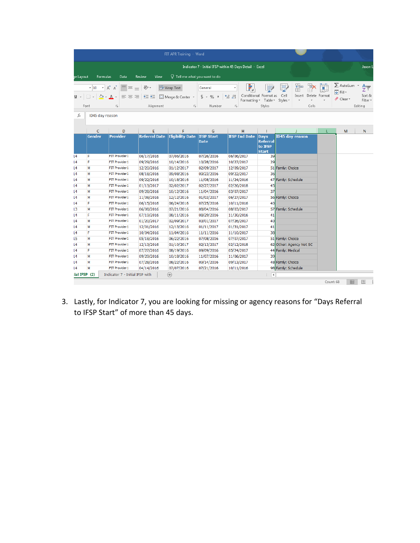|                 |                                                               |                                                                                                                                                                                                |                                     | FIT APR Training - Word                                              |                                   |                                                          |                                                           |                                                      |               |                                                                 |                                                                  |
|-----------------|---------------------------------------------------------------|------------------------------------------------------------------------------------------------------------------------------------------------------------------------------------------------|-------------------------------------|----------------------------------------------------------------------|-----------------------------------|----------------------------------------------------------|-----------------------------------------------------------|------------------------------------------------------|---------------|-----------------------------------------------------------------|------------------------------------------------------------------|
|                 |                                                               |                                                                                                                                                                                                |                                     |                                                                      |                                   | Indicator 7 - Initial IFSP within 45 Days Detail - Excel |                                                           |                                                      |               |                                                                 | Jason I                                                          |
| je Layout       | Formulas                                                      | Data                                                                                                                                                                                           | Review<br>View                      | $\Omega$ Tell me what you want to do                                 |                                   |                                                          |                                                           |                                                      |               |                                                                 |                                                                  |
| U -             | $-10$<br>$\mathbb{H}$ + $\mathbb{Q}$ + $\mathbb{A}$ +<br>Font | $\mathbf{A} \mathbf{A}^{\dagger} \mathbf{A}^{\dagger} \equiv \mathbf{B} \equiv \mathbf{B} \mathbf{A}^{\dagger} \mathbf{A}^{\dagger}$<br>$\equiv$ $\equiv$ $\equiv$<br>$\overline{\Gamma_{26}}$ | $E \equiv \frac{1}{2}$<br>Alignment | <b>FV</b> Wrap Text<br>Merge & Center *<br>$\overline{\mathbb{F}_M}$ | General<br>$$ - 96$ $$$<br>Number | $-0.00$<br>Formatting *<br>$\overline{\mathbb{F}_M}$     | Conditional Format as<br>Table *<br>Styles                | 핆<br>- 금<br>Ħ<br>Cell<br>Insert<br>Styles *<br>Cells | Delete Format | $\sum$ AutoSum<br>$\overline{v}$ Fill $\overline{v}$<br>Clear - | $\frac{\mathsf{A}}{\mathsf{Z}}$<br>Sort &<br>Filter *<br>Editing |
| fx              | ID45 day reason                                               |                                                                                                                                                                                                |                                     |                                                                      |                                   |                                                          |                                                           |                                                      |               |                                                                 |                                                                  |
|                 | C                                                             | D                                                                                                                                                                                              | E                                   | F                                                                    | G                                 | н                                                        | T                                                         |                                                      |               | M                                                               | N                                                                |
|                 | Gender                                                        | <b>Provider</b>                                                                                                                                                                                | <b>Referral Date</b>                | <b>Eligibility Date</b>                                              | <b>IFSP Start</b><br><b>Date</b>  | <b>IFSP End Date</b>                                     | <b>Days</b><br><b>Referral</b><br>to IFSP<br><b>Start</b> | <b>ID45 day reason</b>                               |               |                                                                 |                                                                  |
| $\sqrt{4}$      | F                                                             | <b>FIT Provider 1</b>                                                                                                                                                                          | 06/17/2016                          | 07/06/2016                                                           | 07/26/2016                        | 06/06/2017                                               | 39                                                        |                                                      |               |                                                                 |                                                                  |
| $\sqrt{4}$      | F                                                             | <b>FIT Provider 1</b>                                                                                                                                                                          | 09/29/2016                          | 10/14/2016                                                           | 10/28/2016                        | 10/27/2017                                               | 29                                                        |                                                      |               |                                                                 |                                                                  |
| $\mathsf{I}4$   | M                                                             | <b>FIT Provider 1</b>                                                                                                                                                                          | 12/20/2016                          | 01/12/2017                                                           | 02/09/2017                        | 12/09/2017                                               |                                                           | 51 Family: Choice                                    |               |                                                                 |                                                                  |
| $\mathsf{L}4$   | M                                                             | FIT Provider 1                                                                                                                                                                                 | 08/18/2016                          | 09/08/2016                                                           | 09/23/2016                        | 09/22/2017                                               | 36                                                        |                                                      |               |                                                                 |                                                                  |
| l4              | M                                                             | <b>FIT Provider 1</b>                                                                                                                                                                          | 09/22/2016                          | 10/18/2016                                                           | 11/08/2016                        | 11/24/2016                                               |                                                           | 47 Family: Schedule                                  |               |                                                                 |                                                                  |
| l4              | M                                                             | <b>FIT Provider 1</b>                                                                                                                                                                          | 01/13/2017                          | 02/02/2017                                                           | 02/27/2017                        | 02/26/2018                                               | 45                                                        |                                                      |               |                                                                 |                                                                  |
| $14$            | M                                                             | <b>FIT Provider 1</b>                                                                                                                                                                          | 09/28/2016                          | 10/12/2016                                                           | 11/04/2016                        | 03/07/2017                                               | 37                                                        |                                                      |               |                                                                 |                                                                  |
| $14$            | M                                                             | FIT Provider 1                                                                                                                                                                                 | 11/08/2016                          | 12/12/2016                                                           | 01/03/2017                        | 06/27/2017                                               |                                                           | 56 Family: Choice                                    |               |                                                                 |                                                                  |
| $\sqrt{4}$      | F                                                             | <b>FIT Provider 1</b>                                                                                                                                                                          | 06/15/2016                          | 06/24/2016                                                           | 07/25/2016                        | 10/11/2016                                               | 40                                                        |                                                      |               |                                                                 |                                                                  |
| 13              | M                                                             | <b>FIT Provider 1</b>                                                                                                                                                                          | 06/08/2016                          | 07/21/2016                                                           | 08/04/2016                        | 08/03/2017                                               |                                                           | 57 Family: Schedule                                  |               |                                                                 |                                                                  |
| $\sqrt{4}$      | F                                                             | <b>FIT Provider 1</b>                                                                                                                                                                          | 07/19/2016                          | 08/11/2016                                                           | 08/29/2016                        | 11/30/2016                                               | 41                                                        |                                                      |               |                                                                 |                                                                  |
| $\mathsf{L}4$   | M                                                             | <b>FIT Provider 1</b>                                                                                                                                                                          | 01/20/2017                          | 02/09/2017                                                           | 03/01/2017                        | 07/26/2017                                               | 40                                                        |                                                      |               |                                                                 |                                                                  |
| $\mathsf{I}4$   | M                                                             | <b>FIT Provider 1</b>                                                                                                                                                                          | 12/01/2016                          | 12/13/2016                                                           | 01/11/2017                        | 01/31/2017                                               | 41                                                        |                                                      |               |                                                                 |                                                                  |
| l4              | F                                                             | <b>FIT Provider 1</b>                                                                                                                                                                          | 10/04/2016                          | 11/04/2016                                                           | 11/11/2016                        | 11/10/2017                                               | 38                                                        |                                                      |               |                                                                 |                                                                  |
| 15              | M                                                             | FIT Provider 1                                                                                                                                                                                 | 05/18/2016                          | 06/22/2016                                                           | 07/08/2016                        | 07/07/2017                                               |                                                           | 51 Family: Choice                                    |               |                                                                 |                                                                  |
| $14$            | M                                                             | FIT Provider 1                                                                                                                                                                                 | 12/13/2016                          | 01/10/2017                                                           | 02/13/2017                        | 02/12/2018                                               |                                                           | 62 Other: Agency Not SC                              |               |                                                                 |                                                                  |
| $\sqrt{4}$      | F                                                             | <b>FIT Provider 1</b>                                                                                                                                                                          | 07/27/2016                          | 08/19/2016                                                           | 09/09/2016                        | 05/24/2017                                               |                                                           | 44 Family: Medical                                   |               |                                                                 |                                                                  |
| $\sqrt{4}$      | M                                                             | <b>FIT Provider 1</b>                                                                                                                                                                          | 09/29/2016                          | 10/18/2016                                                           | 11/07/2016                        | 11/06/2017                                               | 39                                                        |                                                      |               |                                                                 |                                                                  |
| $\sqrt{4}$      | M                                                             | FIT Provider 1                                                                                                                                                                                 | 07/28/2016                          | 08/22/2016                                                           | 09/14/2016                        | 09/13/2017                                               |                                                           | 48 Family: Choice                                    |               |                                                                 |                                                                  |
| $\overline{14}$ | M                                                             | FIT Provider 1                                                                                                                                                                                 | 04/14/2016                          | 07/07/2016                                                           | 07/21/2016                        | 10/11/2016                                               |                                                           | 98 Family: Schedule                                  |               |                                                                 |                                                                  |
| ial IFSP (2)    |                                                               | Indicator 7 - Initial IFSP with                                                                                                                                                                |                                     | $\bigoplus$                                                          |                                   |                                                          | $\blacktriangleleft$                                      |                                                      |               | 用<br>Count: 68                                                  | 圓                                                                |

3. Lastly, for Indicator 7, you are looking for missing or agency reasons for "Days Referral to IFSP Start" of more than 45 days.